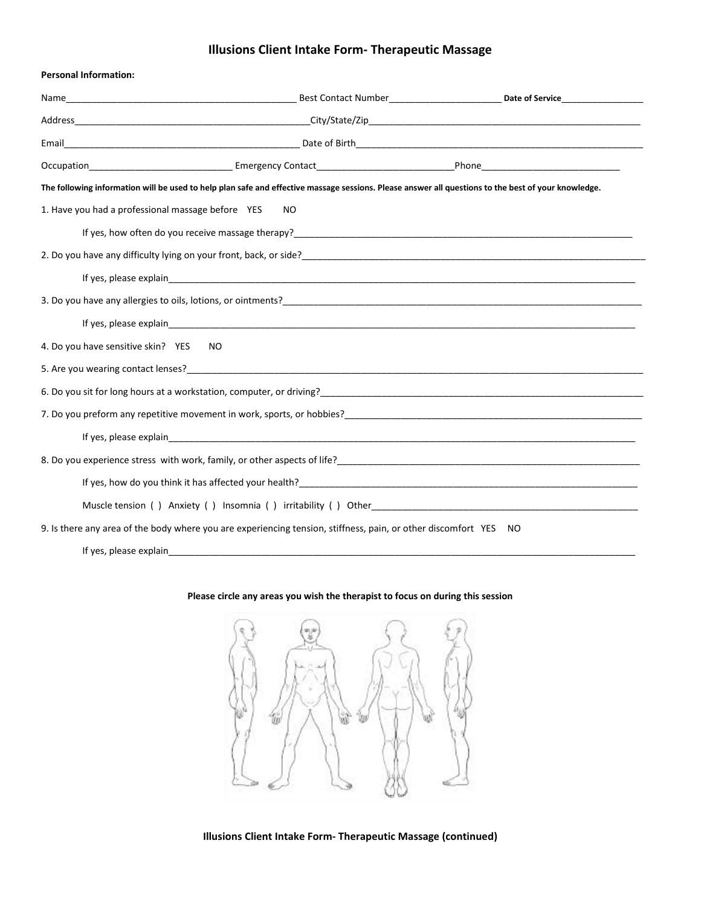## **Illusions Client Intake Form- Therapeutic Massage**

| <b>Personal Information:</b>                                                                                                                                                                                                       |                                                                                                                                                                                                                                  |  |  |
|------------------------------------------------------------------------------------------------------------------------------------------------------------------------------------------------------------------------------------|----------------------------------------------------------------------------------------------------------------------------------------------------------------------------------------------------------------------------------|--|--|
|                                                                                                                                                                                                                                    |                                                                                                                                                                                                                                  |  |  |
|                                                                                                                                                                                                                                    |                                                                                                                                                                                                                                  |  |  |
|                                                                                                                                                                                                                                    |                                                                                                                                                                                                                                  |  |  |
|                                                                                                                                                                                                                                    |                                                                                                                                                                                                                                  |  |  |
| The following information will be used to help plan safe and effective massage sessions. Please answer all questions to the best of your knowledge.                                                                                |                                                                                                                                                                                                                                  |  |  |
| 1. Have you had a professional massage before YES<br>N <sub>O</sub>                                                                                                                                                                |                                                                                                                                                                                                                                  |  |  |
| If yes, how often do you receive massage therapy?<br>The management of the matter of the matter of the matter of the matter of the matter of the matter of the matter                                                              |                                                                                                                                                                                                                                  |  |  |
|                                                                                                                                                                                                                                    |                                                                                                                                                                                                                                  |  |  |
|                                                                                                                                                                                                                                    |                                                                                                                                                                                                                                  |  |  |
| 3. Do you have any allergies to oils, lotions, or ointments?<br>and the contract of the contract of the contract of the contract of the contract of the contract of the contract of the contract of the contract of the contract   |                                                                                                                                                                                                                                  |  |  |
|                                                                                                                                                                                                                                    |                                                                                                                                                                                                                                  |  |  |
| 4. Do you have sensitive skin? YES                                                                                                                                                                                                 | NO.                                                                                                                                                                                                                              |  |  |
|                                                                                                                                                                                                                                    | 5. Are you wearing contact lenses?<br>Solution of the contract lenses of the contract of the contract of the contract of the contract of the contract of the contract of the contract of the contract of the contract of the con |  |  |
| 6. Do you sit for long hours at a workstation, computer, or driving?<br>Subsequence in the contract of the contract of the contract of the contract of the contract of the contract of                                             |                                                                                                                                                                                                                                  |  |  |
| 7. Do you preform any repetitive movement in work, sports, or hobbies?<br>The management of the management of the management of the management of the management of the management of t                                            |                                                                                                                                                                                                                                  |  |  |
|                                                                                                                                                                                                                                    |                                                                                                                                                                                                                                  |  |  |
| 8. Do you experience stress with work, family, or other aspects of life?<br>2. Do you experience stress with work, family, or other aspects of life?<br>2. The manus content content content content of the stress of the stress o |                                                                                                                                                                                                                                  |  |  |
|                                                                                                                                                                                                                                    |                                                                                                                                                                                                                                  |  |  |
|                                                                                                                                                                                                                                    |                                                                                                                                                                                                                                  |  |  |
| 9. Is there any area of the body where you are experiencing tension, stiffness, pain, or other discomfort YES<br>NO.                                                                                                               |                                                                                                                                                                                                                                  |  |  |
| If yes, please explain                                                                                                                                                                                                             |                                                                                                                                                                                                                                  |  |  |

## **Please circle any areas you wish the therapist to focus on during this session**



**Illusions Client Intake Form- Therapeutic Massage (continued)**